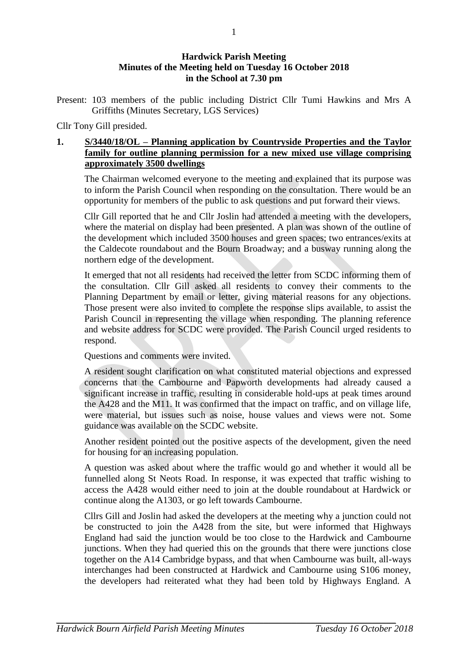## **Hardwick Parish Meeting Minutes of the Meeting held on Tuesday 16 October 2018 in the School at 7.30 pm**

Present: 103 members of the public including District Cllr Tumi Hawkins and Mrs A Griffiths (Minutes Secretary, LGS Services)

Cllr Tony Gill presided.

## **1. S/3440/18/OL – Planning application by Countryside Properties and the Taylor family for outline planning permission for a new mixed use village comprising approximately 3500 dwellings**

The Chairman welcomed everyone to the meeting and explained that its purpose was to inform the Parish Council when responding on the consultation. There would be an opportunity for members of the public to ask questions and put forward their views.

Cllr Gill reported that he and Cllr Joslin had attended a meeting with the developers, where the material on display had been presented. A plan was shown of the outline of the development which included 3500 houses and green spaces; two entrances/exits at the Caldecote roundabout and the Bourn Broadway; and a busway running along the northern edge of the development.

It emerged that not all residents had received the letter from SCDC informing them of the consultation. Cllr Gill asked all residents to convey their comments to the Planning Department by email or letter, giving material reasons for any objections. Those present were also invited to complete the response slips available, to assist the Parish Council in representing the village when responding. The planning reference and website address for SCDC were provided. The Parish Council urged residents to respond.

Questions and comments were invited.

A resident sought clarification on what constituted material objections and expressed concerns that the Cambourne and Papworth developments had already caused a significant increase in traffic, resulting in considerable hold-ups at peak times around the A428 and the M11. It was confirmed that the impact on traffic, and on village life, were material, but issues such as noise, house values and views were not. Some guidance was available on the SCDC website.

Another resident pointed out the positive aspects of the development, given the need for housing for an increasing population.

A question was asked about where the traffic would go and whether it would all be funnelled along St Neots Road. In response, it was expected that traffic wishing to access the A428 would either need to join at the double roundabout at Hardwick or continue along the A1303, or go left towards Cambourne.

Cllrs Gill and Joslin had asked the developers at the meeting why a junction could not be constructed to join the A428 from the site, but were informed that Highways England had said the junction would be too close to the Hardwick and Cambourne junctions. When they had queried this on the grounds that there were junctions close together on the A14 Cambridge bypass, and that when Cambourne was built, all-ways interchanges had been constructed at Hardwick and Cambourne using S106 money, the developers had reiterated what they had been told by Highways England. A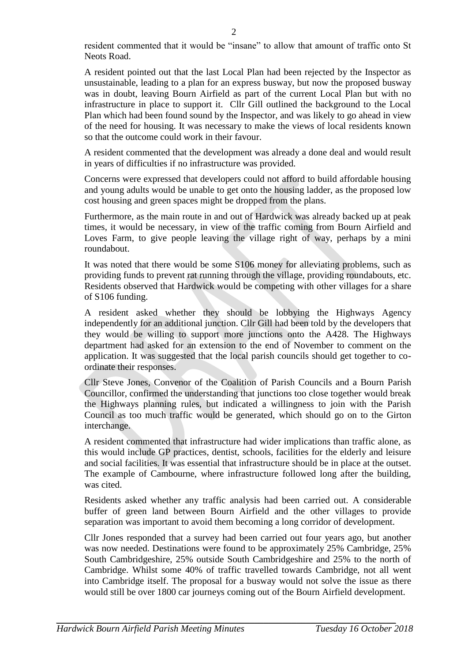resident commented that it would be "insane" to allow that amount of traffic onto St Neots Road.

A resident pointed out that the last Local Plan had been rejected by the Inspector as unsustainable, leading to a plan for an express busway, but now the proposed busway was in doubt, leaving Bourn Airfield as part of the current Local Plan but with no infrastructure in place to support it. Cllr Gill outlined the background to the Local Plan which had been found sound by the Inspector, and was likely to go ahead in view of the need for housing. It was necessary to make the views of local residents known so that the outcome could work in their favour.

A resident commented that the development was already a done deal and would result in years of difficulties if no infrastructure was provided.

Concerns were expressed that developers could not afford to build affordable housing and young adults would be unable to get onto the housing ladder, as the proposed low cost housing and green spaces might be dropped from the plans.

Furthermore, as the main route in and out of Hardwick was already backed up at peak times, it would be necessary, in view of the traffic coming from Bourn Airfield and Loves Farm, to give people leaving the village right of way, perhaps by a mini roundabout.

It was noted that there would be some S106 money for alleviating problems, such as providing funds to prevent rat running through the village, providing roundabouts, etc. Residents observed that Hardwick would be competing with other villages for a share of S106 funding.

A resident asked whether they should be lobbying the Highways Agency independently for an additional junction. Cllr Gill had been told by the developers that they would be willing to support more junctions onto the A428. The Highways department had asked for an extension to the end of November to comment on the application. It was suggested that the local parish councils should get together to coordinate their responses.

Cllr Steve Jones, Convenor of the Coalition of Parish Councils and a Bourn Parish Councillor, confirmed the understanding that junctions too close together would break the Highways planning rules, but indicated a willingness to join with the Parish Council as too much traffic would be generated, which should go on to the Girton interchange.

A resident commented that infrastructure had wider implications than traffic alone, as this would include GP practices, dentist, schools, facilities for the elderly and leisure and social facilities. It was essential that infrastructure should be in place at the outset. The example of Cambourne, where infrastructure followed long after the building, was cited.

Residents asked whether any traffic analysis had been carried out. A considerable buffer of green land between Bourn Airfield and the other villages to provide separation was important to avoid them becoming a long corridor of development.

Cllr Jones responded that a survey had been carried out four years ago, but another was now needed. Destinations were found to be approximately 25% Cambridge, 25% South Cambridgeshire, 25% outside South Cambridgeshire and 25% to the north of Cambridge. Whilst some 40% of traffic travelled towards Cambridge, not all went into Cambridge itself. The proposal for a busway would not solve the issue as there would still be over 1800 car journeys coming out of the Bourn Airfield development.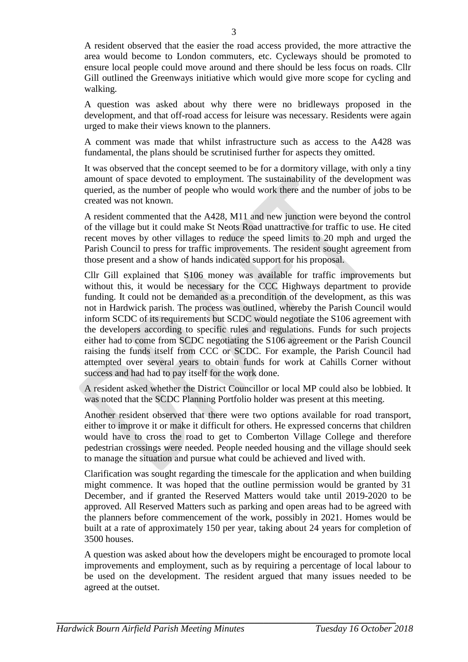A resident observed that the easier the road access provided, the more attractive the area would become to London commuters, etc. Cycleways should be promoted to ensure local people could move around and there should be less focus on roads. Cllr Gill outlined the Greenways initiative which would give more scope for cycling and walking.

A question was asked about why there were no bridleways proposed in the development, and that off-road access for leisure was necessary. Residents were again urged to make their views known to the planners.

A comment was made that whilst infrastructure such as access to the A428 was fundamental, the plans should be scrutinised further for aspects they omitted.

It was observed that the concept seemed to be for a dormitory village, with only a tiny amount of space devoted to employment. The sustainability of the development was queried, as the number of people who would work there and the number of jobs to be created was not known.

A resident commented that the A428, M11 and new junction were beyond the control of the village but it could make St Neots Road unattractive for traffic to use. He cited recent moves by other villages to reduce the speed limits to 20 mph and urged the Parish Council to press for traffic improvements. The resident sought agreement from those present and a show of hands indicated support for his proposal.

Cllr Gill explained that S106 money was available for traffic improvements but without this, it would be necessary for the CCC Highways department to provide funding. It could not be demanded as a precondition of the development, as this was not in Hardwick parish. The process was outlined, whereby the Parish Council would inform SCDC of its requirements but SCDC would negotiate the S106 agreement with the developers according to specific rules and regulations. Funds for such projects either had to come from SCDC negotiating the S106 agreement or the Parish Council raising the funds itself from CCC or SCDC. For example, the Parish Council had attempted over several years to obtain funds for work at Cahills Corner without success and had had to pay itself for the work done.

A resident asked whether the District Councillor or local MP could also be lobbied. It was noted that the SCDC Planning Portfolio holder was present at this meeting.

Another resident observed that there were two options available for road transport, either to improve it or make it difficult for others. He expressed concerns that children would have to cross the road to get to Comberton Village College and therefore pedestrian crossings were needed. People needed housing and the village should seek to manage the situation and pursue what could be achieved and lived with.

Clarification was sought regarding the timescale for the application and when building might commence. It was hoped that the outline permission would be granted by 31 December, and if granted the Reserved Matters would take until 2019-2020 to be approved. All Reserved Matters such as parking and open areas had to be agreed with the planners before commencement of the work, possibly in 2021. Homes would be built at a rate of approximately 150 per year, taking about 24 years for completion of 3500 houses.

A question was asked about how the developers might be encouraged to promote local improvements and employment, such as by requiring a percentage of local labour to be used on the development. The resident argued that many issues needed to be agreed at the outset.